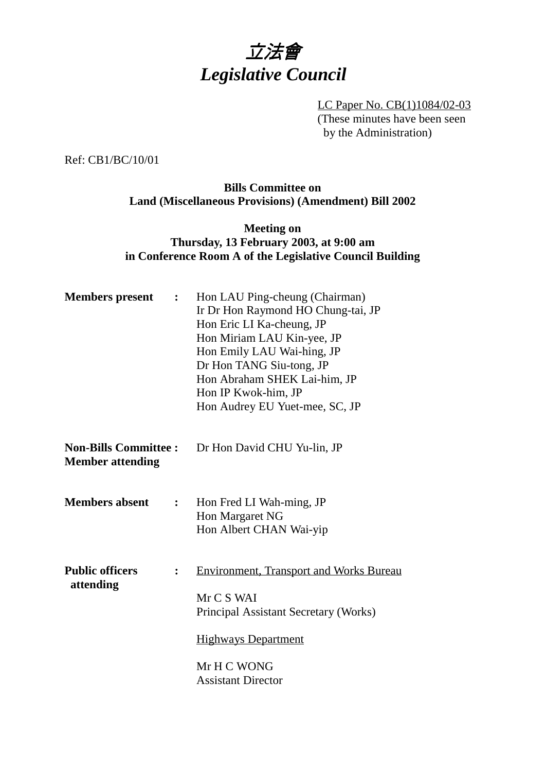

LC Paper No. CB(1)1084/02-03 (These minutes have been seen by the Administration)

Ref: CB1/BC/10/01

### **Bills Committee on Land (Miscellaneous Provisions) (Amendment) Bill 2002**

## **Meeting on Thursday, 13 February 2003, at 9:00 am in Conference Room A of the Legislative Council Building**

| <b>Members</b> present                                  | $\ddot{\cdot}$ | Hon LAU Ping-cheung (Chairman)<br>Ir Dr Hon Raymond HO Chung-tai, JP<br>Hon Eric LI Ka-cheung, JP<br>Hon Miriam LAU Kin-yee, JP<br>Hon Emily LAU Wai-hing, JP<br>Dr Hon TANG Siu-tong, JP<br>Hon Abraham SHEK Lai-him, JP<br>Hon IP Kwok-him, JP<br>Hon Audrey EU Yuet-mee, SC, JP |
|---------------------------------------------------------|----------------|------------------------------------------------------------------------------------------------------------------------------------------------------------------------------------------------------------------------------------------------------------------------------------|
| <b>Non-Bills Committee :</b><br><b>Member attending</b> |                | Dr Hon David CHU Yu-lin, JP                                                                                                                                                                                                                                                        |
| <b>Members absent</b>                                   | $\mathbf{L}$   | Hon Fred LI Wah-ming, JP<br>Hon Margaret NG<br>Hon Albert CHAN Wai-yip                                                                                                                                                                                                             |
| <b>Public officers</b><br>attending                     | $\ddot{\cdot}$ | <b>Environment, Transport and Works Bureau</b><br>Mr C S WAI<br>Principal Assistant Secretary (Works)<br><b>Highways Department</b><br>Mr H C WONG<br><b>Assistant Director</b>                                                                                                    |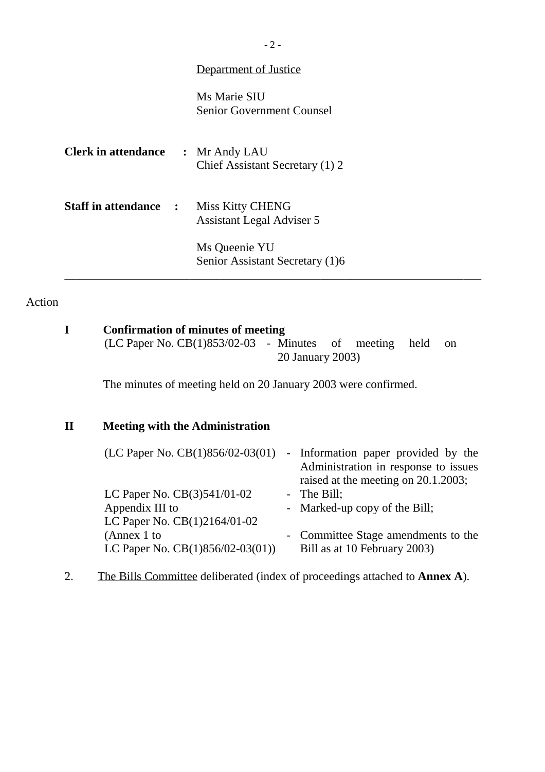| Department of Justice |  |
|-----------------------|--|
|                       |  |

Ms Marie SIU Senior Government Counsel

| <b>Clerk in attendance</b> |                      | : Mr Andy LAU<br>Chief Assistant Secretary (1) 2     |
|----------------------------|----------------------|------------------------------------------------------|
| <b>Staff in attendance</b> | $\ddot{\phantom{1}}$ | Miss Kitty CHENG<br><b>Assistant Legal Adviser 5</b> |
|                            |                      | Ms Queenie YU<br>Senior Assistant Secretary (1)6     |

# Action

|             | <b>Confirmation of minutes of meeting</b><br>$(LC$ Paper No. $CB(1)853/02-03$ - Minutes of meeting | held<br>$\alpha$<br>20 January 2003)                                                                               |
|-------------|----------------------------------------------------------------------------------------------------|--------------------------------------------------------------------------------------------------------------------|
|             | The minutes of meeting held on 20 January 2003 were confirmed.                                     |                                                                                                                    |
| $\mathbf H$ | <b>Meeting with the Administration</b>                                                             |                                                                                                                    |
|             | (LC Paper No. $CB(1)856/02-03(01)$ )                                                               | - Information paper provided by the<br>Administration in response to issues<br>raised at the meeting on 20.1.2003; |
|             | LC Paper No. CB(3)541/01-02                                                                        | - The Bill;                                                                                                        |
|             | Appendix III to<br>LC Paper No. CB(1)2164/01-02                                                    | - Marked-up copy of the Bill;                                                                                      |
|             | (Annex 1 to<br>LC Paper No. $CB(1)856/02-03(01)$                                                   | Committee Stage amendments to the<br>Bill as at 10 February 2003)                                                  |

\_\_\_\_\_\_\_\_\_\_\_\_\_\_\_\_\_\_\_\_\_\_\_\_\_\_\_\_\_\_\_\_\_\_\_\_\_\_\_\_\_\_\_\_\_\_\_\_\_\_\_\_\_\_\_\_\_\_\_\_\_\_\_\_\_\_\_\_\_\_

2. The Bills Committee deliberated (index of proceedings attached to **Annex A**).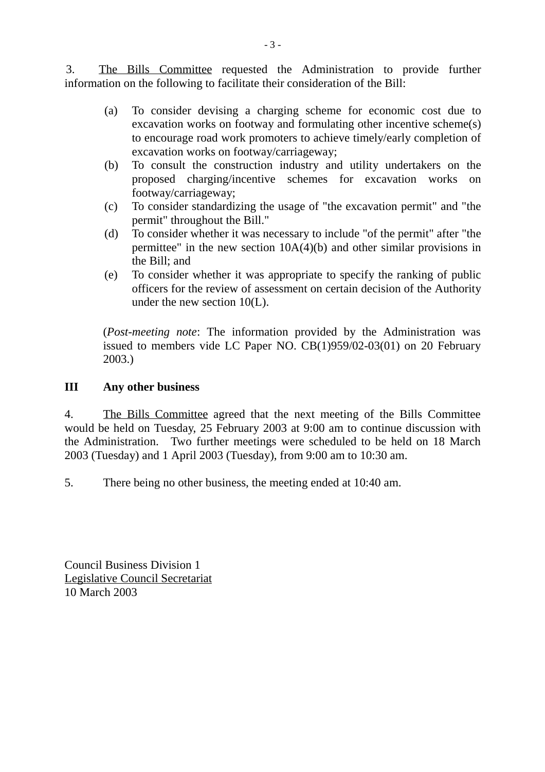3. The Bills Committee requested the Administration to provide further information on the following to facilitate their consideration of the Bill:

- (a) To consider devising a charging scheme for economic cost due to excavation works on footway and formulating other incentive scheme(s) to encourage road work promoters to achieve timely/early completion of excavation works on footway/carriageway;
- (b) To consult the construction industry and utility undertakers on the proposed charging/incentive schemes for excavation works on footway/carriageway;
- (c) To consider standardizing the usage of "the excavation permit" and "the permit" throughout the Bill."
- (d) To consider whether it was necessary to include "of the permit" after "the permittee" in the new section  $10A(4)(b)$  and other similar provisions in the Bill; and
- (e) To consider whether it was appropriate to specify the ranking of public officers for the review of assessment on certain decision of the Authority under the new section 10(L).

(*Post-meeting note*: The information provided by the Administration was issued to members vide LC Paper NO. CB(1)959/02-03(01) on 20 February 2003.)

### **III Any other business**

4. The Bills Committee agreed that the next meeting of the Bills Committee would be held on Tuesday, 25 February 2003 at 9:00 am to continue discussion with the Administration. Two further meetings were scheduled to be held on 18 March 2003 (Tuesday) and 1 April 2003 (Tuesday), from 9:00 am to 10:30 am.

5. There being no other business, the meeting ended at 10:40 am.

Council Business Division 1 Legislative Council Secretariat 10 March 2003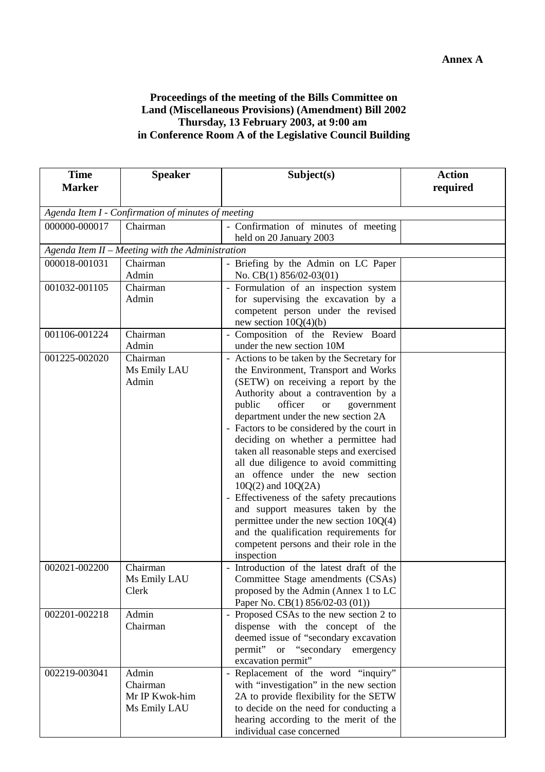#### **Proceedings of the meeting of the Bills Committee on Land (Miscellaneous Provisions) (Amendment) Bill 2002 Thursday, 13 February 2003, at 9:00 am in Conference Room A of the Legislative Council Building**

| <b>Time</b>   | <b>Speaker</b>                                      | Subject(s)                                                                                                                                                                                                                                                                                                                                                                                                                                                                                                                                                                                                                                                                                                                        | <b>Action</b> |  |  |
|---------------|-----------------------------------------------------|-----------------------------------------------------------------------------------------------------------------------------------------------------------------------------------------------------------------------------------------------------------------------------------------------------------------------------------------------------------------------------------------------------------------------------------------------------------------------------------------------------------------------------------------------------------------------------------------------------------------------------------------------------------------------------------------------------------------------------------|---------------|--|--|
| <b>Marker</b> |                                                     |                                                                                                                                                                                                                                                                                                                                                                                                                                                                                                                                                                                                                                                                                                                                   | required      |  |  |
|               |                                                     |                                                                                                                                                                                                                                                                                                                                                                                                                                                                                                                                                                                                                                                                                                                                   |               |  |  |
|               | Agenda Item I - Confirmation of minutes of meeting  |                                                                                                                                                                                                                                                                                                                                                                                                                                                                                                                                                                                                                                                                                                                                   |               |  |  |
| 000000-000017 | Chairman                                            | - Confirmation of minutes of meeting                                                                                                                                                                                                                                                                                                                                                                                                                                                                                                                                                                                                                                                                                              |               |  |  |
|               |                                                     | held on 20 January 2003                                                                                                                                                                                                                                                                                                                                                                                                                                                                                                                                                                                                                                                                                                           |               |  |  |
|               | Agenda Item II - Meeting with the Administration    |                                                                                                                                                                                                                                                                                                                                                                                                                                                                                                                                                                                                                                                                                                                                   |               |  |  |
| 000018-001031 | Chairman<br>Admin                                   | - Briefing by the Admin on LC Paper<br>No. CB(1) $856/02-03(01)$                                                                                                                                                                                                                                                                                                                                                                                                                                                                                                                                                                                                                                                                  |               |  |  |
| 001032-001105 | Chairman<br>Admin                                   | - Formulation of an inspection system<br>for supervising the excavation by a<br>competent person under the revised<br>new section $10Q(4)(b)$                                                                                                                                                                                                                                                                                                                                                                                                                                                                                                                                                                                     |               |  |  |
| 001106-001224 | Chairman<br>Admin                                   | - Composition of the Review Board<br>under the new section 10M                                                                                                                                                                                                                                                                                                                                                                                                                                                                                                                                                                                                                                                                    |               |  |  |
| 001225-002020 | Chairman<br>Ms Emily LAU<br>Admin                   | - Actions to be taken by the Secretary for<br>the Environment, Transport and Works<br>(SETW) on receiving a report by the<br>Authority about a contravention by a<br>public<br>officer<br><b>or</b><br>government<br>department under the new section 2A<br>- Factors to be considered by the court in<br>deciding on whether a permittee had<br>taken all reasonable steps and exercised<br>all due diligence to avoid committing<br>an offence under the new section<br>$10Q(2)$ and $10Q(2A)$<br>- Effectiveness of the safety precautions<br>and support measures taken by the<br>permittee under the new section $10Q(4)$<br>and the qualification requirements for<br>competent persons and their role in the<br>inspection |               |  |  |
| 002021-002200 | Chairman<br>Ms Emily LAU<br>Clerk                   | - Introduction of the latest draft of the<br>Committee Stage amendments (CSAs)<br>proposed by the Admin (Annex 1 to LC<br>Paper No. CB(1) 856/02-03 (01))                                                                                                                                                                                                                                                                                                                                                                                                                                                                                                                                                                         |               |  |  |
| 002201-002218 | Admin<br>Chairman                                   | - Proposed CSAs to the new section 2 to<br>dispense with the concept of the<br>deemed issue of "secondary excavation<br>permit" or "secondary emergency<br>excavation permit"                                                                                                                                                                                                                                                                                                                                                                                                                                                                                                                                                     |               |  |  |
| 002219-003041 | Admin<br>Chairman<br>Mr IP Kwok-him<br>Ms Emily LAU | - Replacement of the word "inquiry"<br>with "investigation" in the new section<br>2A to provide flexibility for the SETW<br>to decide on the need for conducting a<br>hearing according to the merit of the<br>individual case concerned                                                                                                                                                                                                                                                                                                                                                                                                                                                                                          |               |  |  |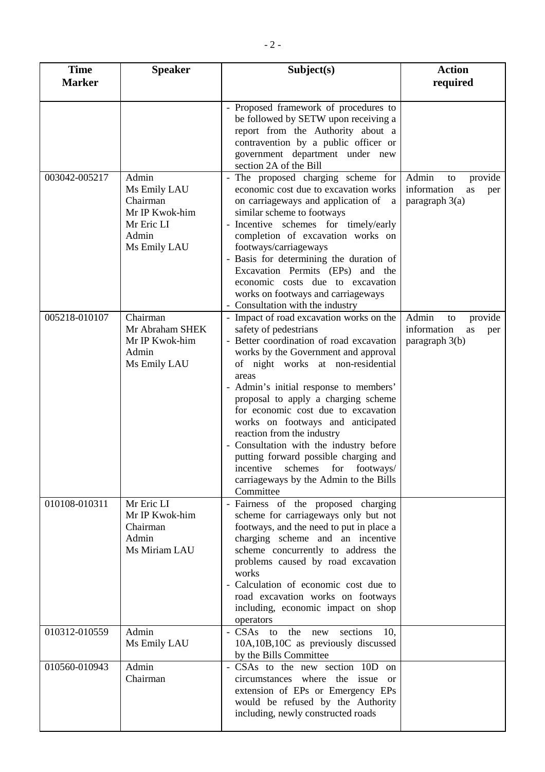| <b>Time</b><br><b>Marker</b> | <b>Speaker</b>                                                                             | Subject(s)                                                                                                                                                                                                                                                                                                                                                                                                                                                                                                                                                                   | <b>Action</b><br>required                                              |
|------------------------------|--------------------------------------------------------------------------------------------|------------------------------------------------------------------------------------------------------------------------------------------------------------------------------------------------------------------------------------------------------------------------------------------------------------------------------------------------------------------------------------------------------------------------------------------------------------------------------------------------------------------------------------------------------------------------------|------------------------------------------------------------------------|
|                              |                                                                                            |                                                                                                                                                                                                                                                                                                                                                                                                                                                                                                                                                                              |                                                                        |
|                              |                                                                                            | Proposed framework of procedures to<br>be followed by SETW upon receiving a<br>report from the Authority about a<br>contravention by a public officer or<br>government department under new<br>section 2A of the Bill                                                                                                                                                                                                                                                                                                                                                        |                                                                        |
| 003042-005217                | Admin<br>Ms Emily LAU<br>Chairman<br>Mr IP Kwok-him<br>Mr Eric LI<br>Admin<br>Ms Emily LAU | - The proposed charging scheme for<br>economic cost due to excavation works<br>on carriageways and application of a<br>similar scheme to footways<br>- Incentive schemes for timely/early<br>completion of excavation works on<br>footways/carriageways<br>- Basis for determining the duration of<br>Excavation Permits (EPs) and the<br>economic costs due to excavation<br>works on footways and carriageways<br>- Consultation with the industry                                                                                                                         | Admin<br>provide<br>to<br>information<br>as<br>per<br>paragraph $3(a)$ |
| 005218-010107                | Chairman<br>Mr Abraham SHEK<br>Mr IP Kwok-him<br>Admin<br>Ms Emily LAU                     | - Impact of road excavation works on the<br>safety of pedestrians<br>- Better coordination of road excavation<br>works by the Government and approval<br>of night works at non-residential<br>areas<br>- Admin's initial response to members'<br>proposal to apply a charging scheme<br>for economic cost due to excavation<br>works on footways and anticipated<br>reaction from the industry<br>- Consultation with the industry before<br>putting forward possible charging and<br>incentive schemes for footways/<br>carriageways by the Admin to the Bills<br>Committee | Admin<br>provide<br>to<br>information<br>as<br>per<br>paragraph 3(b)   |
| 010108-010311                | Mr Eric LI<br>Mr IP Kwok-him<br>Chairman<br>Admin<br>Ms Miriam LAU                         | - Fairness of the proposed charging<br>scheme for carriageways only but not<br>footways, and the need to put in place a<br>charging scheme and an incentive<br>scheme concurrently to address the<br>problems caused by road excavation<br>works<br>- Calculation of economic cost due to<br>road excavation works on footways<br>including, economic impact on shop<br>operators                                                                                                                                                                                            |                                                                        |
| 010312-010559                | Admin<br>Ms Emily LAU                                                                      | sections<br>- CSAs to the<br>10.<br>new<br>10A,10B,10C as previously discussed<br>by the Bills Committee                                                                                                                                                                                                                                                                                                                                                                                                                                                                     |                                                                        |
| 010560-010943                | Admin<br>Chairman                                                                          | - CSAs to the new section 10D on<br>circumstances where the issue<br><sub>or</sub><br>extension of EPs or Emergency EPs<br>would be refused by the Authority<br>including, newly constructed roads                                                                                                                                                                                                                                                                                                                                                                           |                                                                        |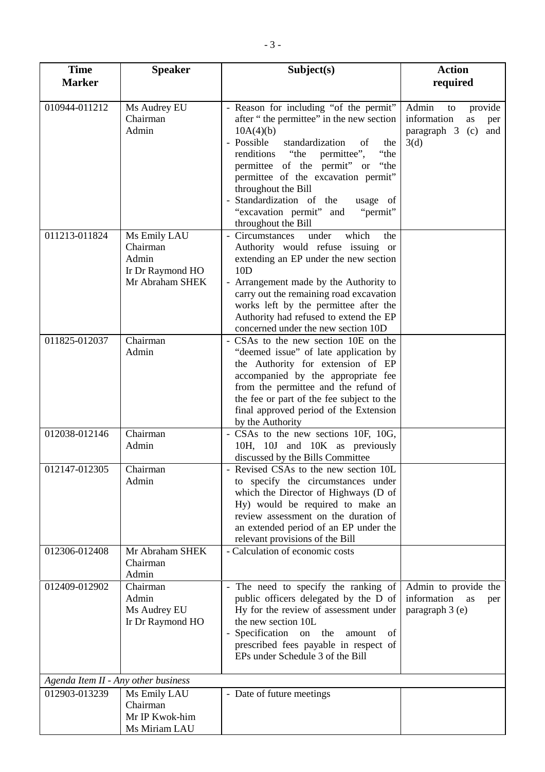| <b>Time</b>                         | <b>Speaker</b>                                                           | Subject(s)                                                                                                                                                                                                                                                                                                                                                                                       | <b>Action</b>                                                                           |
|-------------------------------------|--------------------------------------------------------------------------|--------------------------------------------------------------------------------------------------------------------------------------------------------------------------------------------------------------------------------------------------------------------------------------------------------------------------------------------------------------------------------------------------|-----------------------------------------------------------------------------------------|
| <b>Marker</b>                       |                                                                          |                                                                                                                                                                                                                                                                                                                                                                                                  | required                                                                                |
| 010944-011212                       | Ms Audrey EU<br>Chairman<br>Admin                                        | - Reason for including "of the permit"<br>after "the permittee" in the new section<br>10A(4)(b)<br>- Possible<br>standardization<br>of<br>the<br>"the<br>renditions<br>"the<br>permittee",<br>permittee of the permit" or "the<br>permittee of the excavation permit"<br>throughout the Bill<br>Standardization of the<br>usage of<br>"excavation permit" and<br>"permit"<br>throughout the Bill | Admin<br>provide<br>to<br>information<br>as<br>per<br>paragraph 3<br>(c)<br>and<br>3(d) |
| 011213-011824                       | Ms Emily LAU<br>Chairman<br>Admin<br>Ir Dr Raymond HO<br>Mr Abraham SHEK | - Circumstances<br>under<br>which<br>the<br>Authority would refuse issuing or<br>extending an EP under the new section<br>10D<br>- Arrangement made by the Authority to<br>carry out the remaining road excavation<br>works left by the permittee after the<br>Authority had refused to extend the EP<br>concerned under the new section 10D                                                     |                                                                                         |
| 011825-012037                       | Chairman<br>Admin                                                        | - CSAs to the new section 10E on the<br>"deemed issue" of late application by<br>the Authority for extension of EP<br>accompanied by the appropriate fee<br>from the permittee and the refund of<br>the fee or part of the fee subject to the<br>final approved period of the Extension<br>by the Authority                                                                                      |                                                                                         |
| 012038-012146                       | Chairman<br>Admin                                                        | - CSAs to the new sections 10F, 10G,<br>10H, 10J and 10K as previously<br>discussed by the Bills Committee                                                                                                                                                                                                                                                                                       |                                                                                         |
| 012147-012305                       | Chairman<br>Admin                                                        | Revised CSAs to the new section 10L<br>to specify the circumstances under<br>which the Director of Highways (D of<br>Hy) would be required to make an<br>review assessment on the duration of<br>an extended period of an EP under the<br>relevant provisions of the Bill                                                                                                                        |                                                                                         |
| 012306-012408                       | Mr Abraham SHEK<br>Chairman<br>Admin                                     | - Calculation of economic costs                                                                                                                                                                                                                                                                                                                                                                  |                                                                                         |
| 012409-012902                       | Chairman<br>Admin<br>Ms Audrey EU<br>Ir Dr Raymond HO                    | - The need to specify the ranking of<br>public officers delegated by the D of<br>Hy for the review of assessment under<br>the new section 10L<br>- Specification on<br>the<br>amount<br>of<br>prescribed fees payable in respect of<br>EPs under Schedule 3 of the Bill                                                                                                                          | Admin to provide the<br>information<br>as<br>per<br>paragraph 3 (e)                     |
| Agenda Item II - Any other business |                                                                          |                                                                                                                                                                                                                                                                                                                                                                                                  |                                                                                         |
| 012903-013239                       | Ms Emily LAU<br>Chairman<br>Mr IP Kwok-him<br>Ms Miriam LAU              | - Date of future meetings                                                                                                                                                                                                                                                                                                                                                                        |                                                                                         |